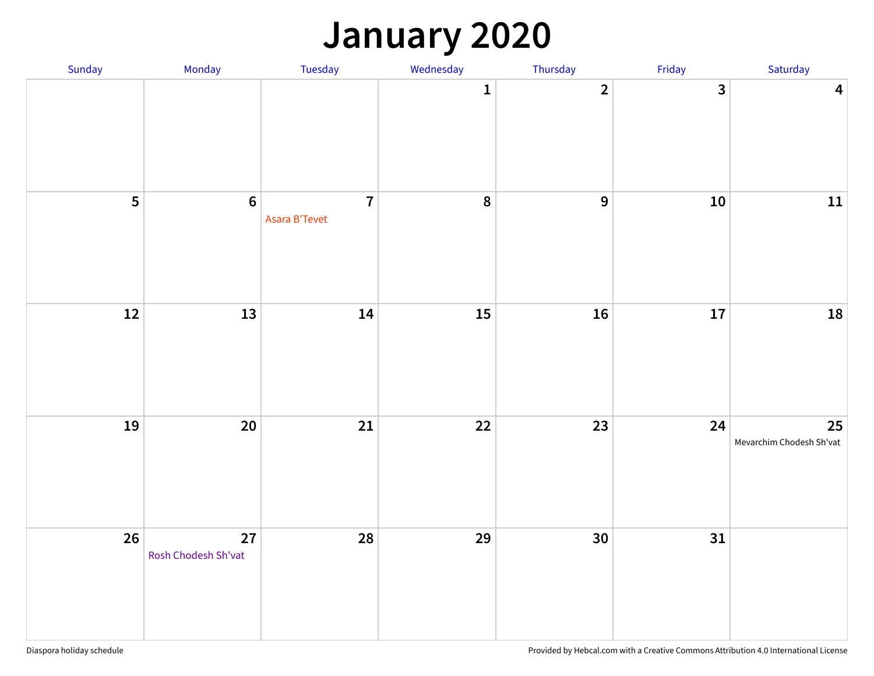### **January 2020**

| Sunday | Monday                    | Tuesday                         | Wednesday    | Thursday        | Friday     | Saturday                       |
|--------|---------------------------|---------------------------------|--------------|-----------------|------------|--------------------------------|
|        |                           |                                 | $\mathbf{1}$ | $\overline{2}$  | 3          | $\overline{\mathbf{4}}$        |
| 5      | $\boldsymbol{6}$          | $\overline{7}$<br>Asara B'Tevet | 8            | $\overline{9}$  | ${\bf 10}$ | $11\,$                         |
| $12$   | 13                        | 14                              | $15\,$       | 16              | 17         | 18                             |
| 19     | $20\,$                    | 21                              | $22$         | 23              | 24         | 25<br>Mevarchim Chodesh Sh'vat |
| 26     | 27<br>Rosh Chodesh Sh'vat | 28                              | 29           | 30 <sub>o</sub> | 31         |                                |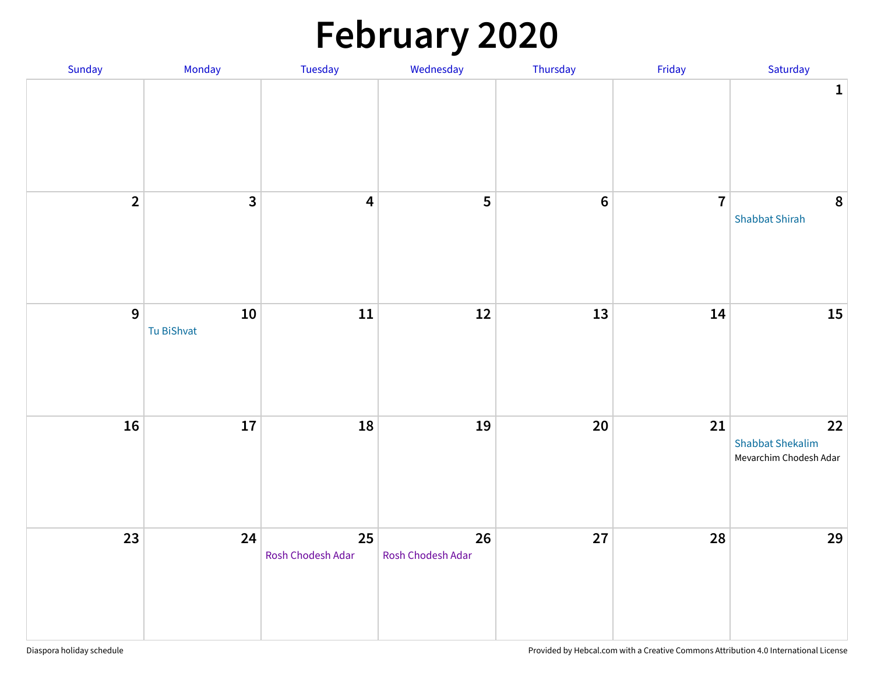# **February 2020**

| Sunday         | Monday                   | Tuesday                 | Wednesday               | Thursday        | Friday         | Saturday                                                |
|----------------|--------------------------|-------------------------|-------------------------|-----------------|----------------|---------------------------------------------------------|
|                |                          |                         |                         |                 |                | $\mathbf 1$                                             |
| $\overline{2}$ | $\overline{\mathbf{3}}$  | $\overline{\mathbf{4}}$ | 5                       | $6\phantom{1}6$ | $\overline{7}$ | 8<br><b>Shabbat Shirah</b>                              |
| 9              | ${\bf 10}$<br>Tu BiShvat | 11                      | 12                      | 13              | 14             | 15                                                      |
| 16             | ${\bf 17}$               | 18                      | 19                      | $20\,$          | 21             | 22<br><b>Shabbat Shekalim</b><br>Mevarchim Chodesh Adar |
| $23$           | 24                       | 25<br>Rosh Chodesh Adar | 26<br>Rosh Chodesh Adar | 27              | 28             | 29                                                      |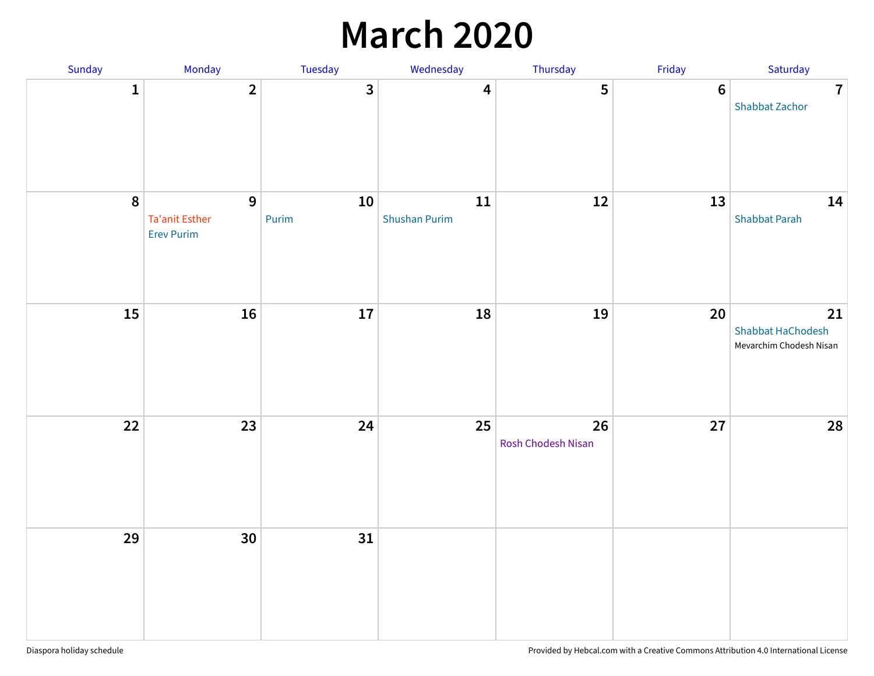### **March 2020**

| Sunday       | Monday                                                     | <b>Tuesday</b> | Wednesday                          | Thursday                 | Friday | Saturday                                           |
|--------------|------------------------------------------------------------|----------------|------------------------------------|--------------------------|--------|----------------------------------------------------|
| $\mathbf{1}$ | $\overline{2}$                                             | $\mathbf{3}$   | $\overline{\mathbf{4}}$            | 5                        | $6\,$  | $\overline{7}$<br><b>Shabbat Zachor</b>            |
| $\pmb{8}$    | $\mathbf{9}$<br><b>Ta'anit Esther</b><br><b>Erev Purim</b> | 10<br>Purim    | ${\bf 11}$<br><b>Shushan Purim</b> | $12\,$                   | 13     | 14<br><b>Shabbat Parah</b>                         |
| 15           | 16                                                         | $17\,$         | 18                                 | 19                       | 20     | 21<br>Shabbat HaChodesh<br>Mevarchim Chodesh Nisan |
| 22           | 23                                                         | 24             | 25                                 | 26<br>Rosh Chodesh Nisan | 27     | 28                                                 |
| 29           | 30                                                         | 31             |                                    |                          |        |                                                    |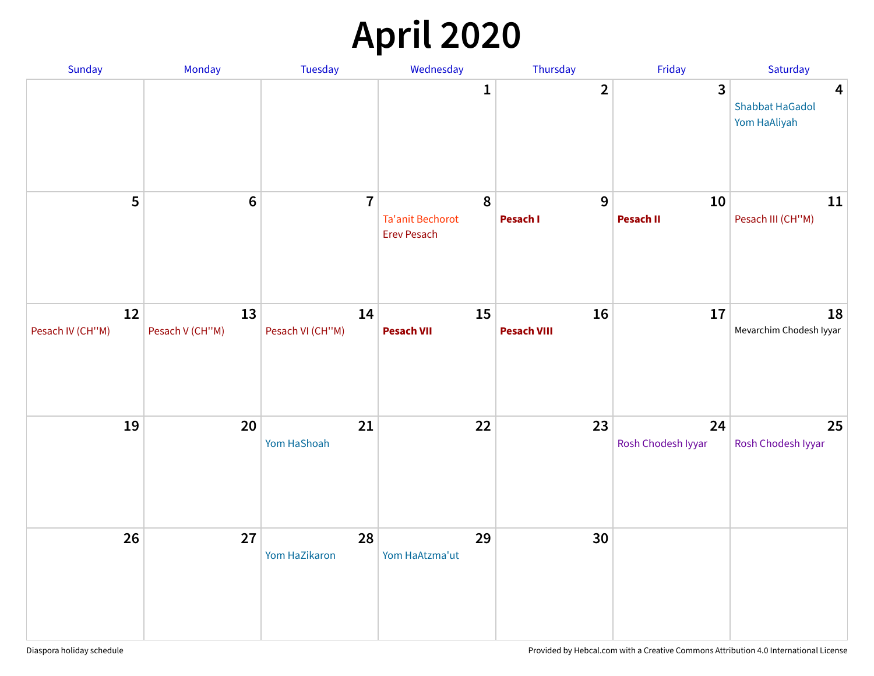## **April 2020**

| Sunday                 | Monday                | Tuesday                | Wednesday                                          | Thursday                 | Friday                   | Saturday                                                          |
|------------------------|-----------------------|------------------------|----------------------------------------------------|--------------------------|--------------------------|-------------------------------------------------------------------|
|                        |                       |                        | $\mathbf{1}$                                       | $\overline{2}$           | 3                        | $\overline{\mathbf{4}}$<br><b>Shabbat HaGadol</b><br>Yom HaAliyah |
| 5                      | $6\,$                 | $\overline{7}$         | 8<br><b>Ta'anit Bechorot</b><br><b>Erev Pesach</b> | 9<br>Pesach I            | 10<br><b>Pesach II</b>   | 11<br>Pesach III (CH"M)                                           |
| 12<br>Pesach IV (CH"M) | 13<br>Pesach V (CH"M) | 14<br>Pesach VI (CH"M) | 15<br><b>Pesach VII</b>                            | 16<br><b>Pesach VIII</b> | 17                       | 18<br>Mevarchim Chodesh Iyyar                                     |
| 19                     | 20                    | 21<br>Yom HaShoah      | 22                                                 | 23                       | 24<br>Rosh Chodesh Iyyar | 25<br>Rosh Chodesh Iyyar                                          |
| 26                     | 27                    | 28<br>Yom HaZikaron    | 29<br>Yom HaAtzma'ut                               | 30                       |                          |                                                                   |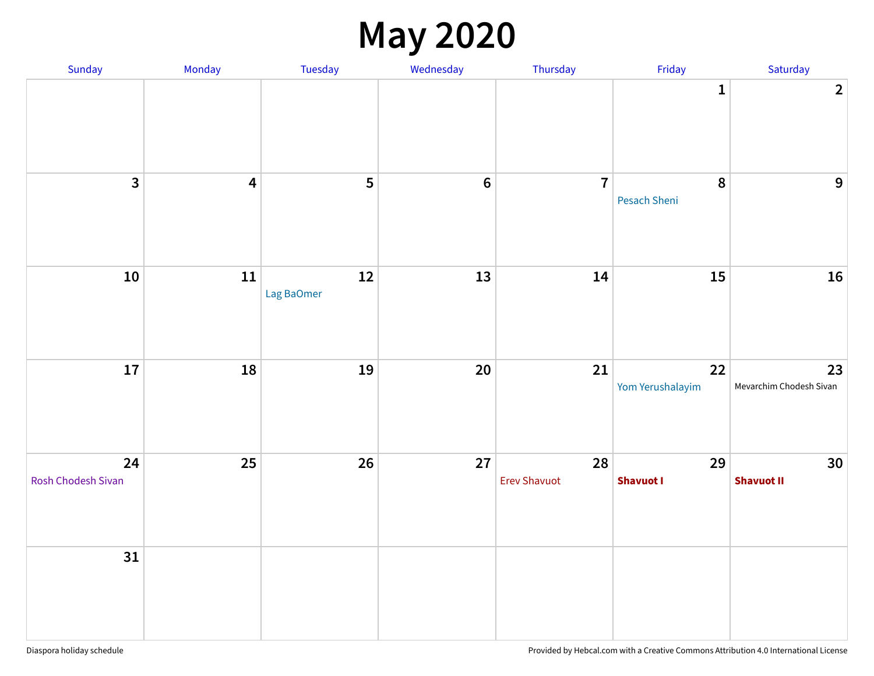### **May 2020**

| Sunday                   | Monday                  | Tuesday          | Wednesday      | Thursday                  | Friday                 | Saturday                             |
|--------------------------|-------------------------|------------------|----------------|---------------------------|------------------------|--------------------------------------|
|                          |                         |                  |                |                           | $\mathbf{1}$           | 2 <sup>1</sup>                       |
| $\overline{\mathbf{3}}$  | $\overline{\mathbf{4}}$ | 5                | $6\phantom{a}$ | $\overline{7}$            | 8<br>Pesach Sheni      | 9                                    |
| ${\bf 10}$               | $11\,$                  | 12<br>Lag BaOmer | 13             | 14                        | 15                     | 16                                   |
| 17                       | 18                      | 19               | 20             | 21                        | 22<br>Yom Yerushalayim | 23<br>Mevarchim Chodesh Sivan        |
| 24<br>Rosh Chodesh Sivan | 25                      | 26               | 27             | 28<br><b>Erev Shavuot</b> | 29<br><b>Shavuot I</b> | 30 <sup>°</sup><br><b>Shavuot II</b> |
| 31                       |                         |                  |                |                           |                        |                                      |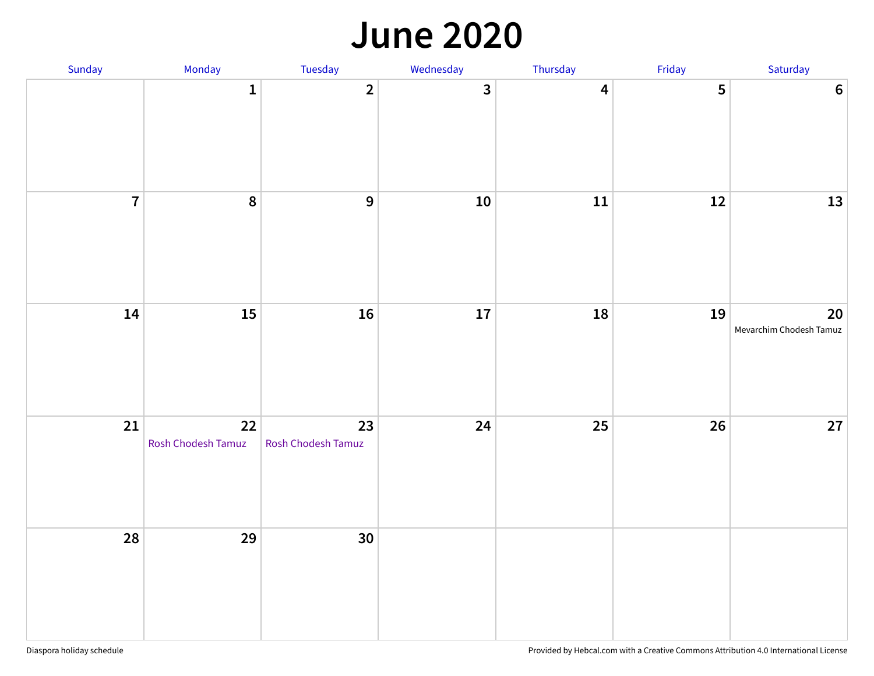#### **June 2020**

| Sunday         | Monday                   | Tuesday                  | Wednesday    | Thursday                | Friday | Saturday                               |
|----------------|--------------------------|--------------------------|--------------|-------------------------|--------|----------------------------------------|
|                | $\mathbf{1}$             | $\overline{2}$           | $\mathbf{3}$ | $\overline{\mathbf{4}}$ | 5      | $\boldsymbol{6}$                       |
| $\overline{7}$ | 8                        | $\overline{9}$           | ${\bf 10}$   | ${\bf 11}$              | 12     | 13                                     |
| 14             | 15                       | 16                       | ${\bf 17}$   | ${\bf 18}$              | 19     | $20\degree$<br>Mevarchim Chodesh Tamuz |
| 21             | 22<br>Rosh Chodesh Tamuz | 23<br>Rosh Chodesh Tamuz | 24           | $25\,$                  | 26     | $27\,$                                 |
| 28             | 29                       | 30                       |              |                         |        |                                        |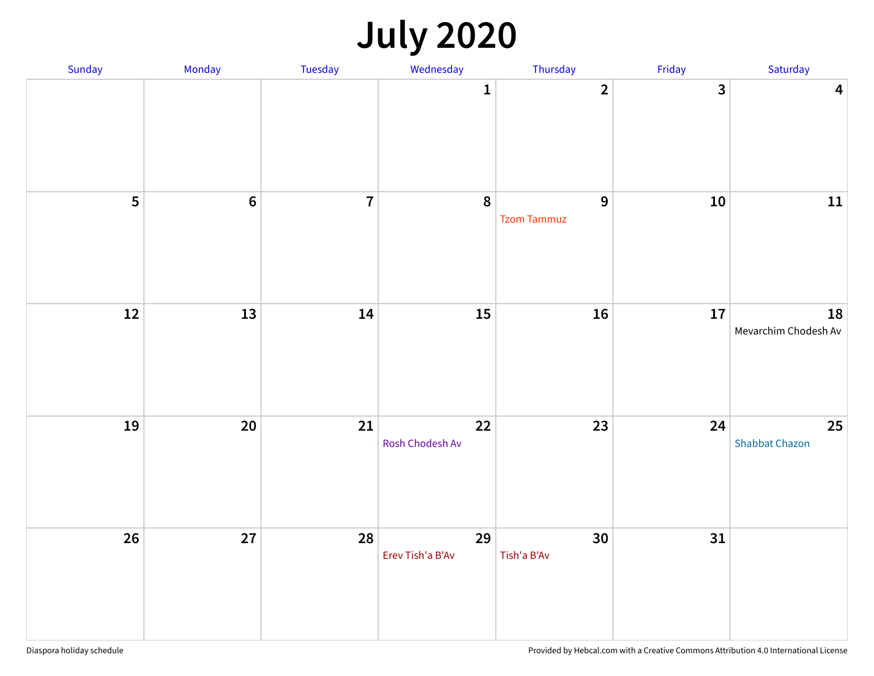### **July 2020**

| Sunday | Monday           | Tuesday        | Wednesday              | Thursday                             | Friday         | Saturday                    |
|--------|------------------|----------------|------------------------|--------------------------------------|----------------|-----------------------------|
|        |                  |                | $\mathbf{1}$           | $\overline{2}$                       | $\overline{3}$ | $\overline{\mathbf{4}}$     |
| 5      | $\boldsymbol{6}$ | $\overline{7}$ | 8                      | $\overline{9}$<br><b>Tzom Tammuz</b> | 10             | $11\,$                      |
| 12     | 13               | 14             | 15                     | 16                                   | 17             | 18<br>Mevarchim Chodesh Av  |
| 19     | 20               | 21             | 22<br>Rosh Chodesh Av  | 23                                   | 24             | 25<br><b>Shabbat Chazon</b> |
| 26     | 27               | 28             | 29<br>Erev Tish'a B'Av | 30<br>Tish'a B'Av                    | 31             |                             |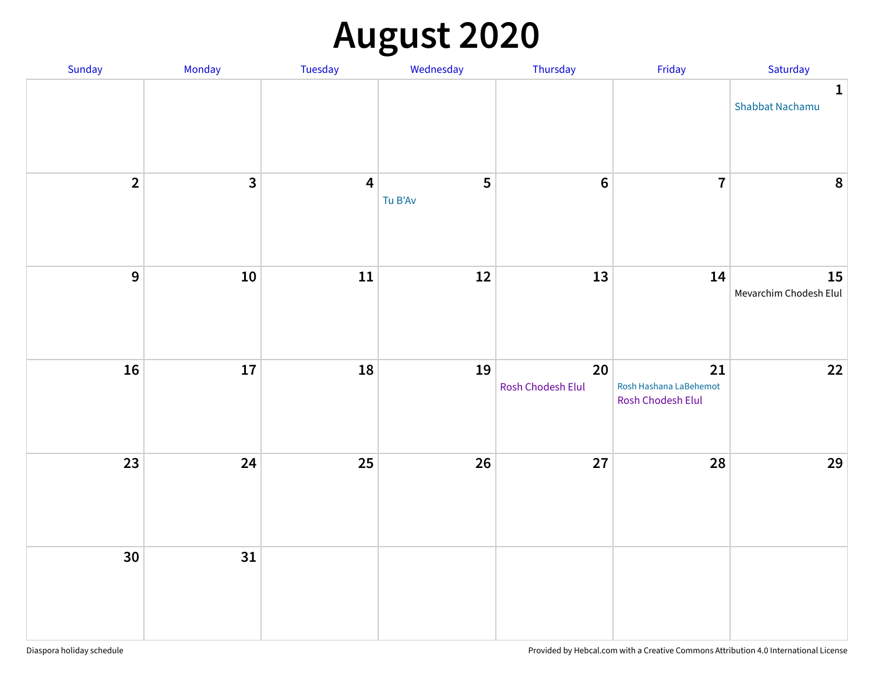## **August 2020**

| Sunday         | Monday                  | Tuesday                 | Wednesday    | Thursday                    | Friday                                            | Saturday                        |
|----------------|-------------------------|-------------------------|--------------|-----------------------------|---------------------------------------------------|---------------------------------|
|                |                         |                         |              |                             |                                                   | $\mathbf{1}$<br>Shabbat Nachamu |
| $\overline{2}$ | $\overline{\mathbf{3}}$ | $\overline{\mathbf{4}}$ | 5<br>Tu B'Av | $\bf 6$                     | $\overline{7}$                                    | $\boldsymbol{8}$                |
| 9              | $10\,$                  | ${\bf 11}$              | $12\,$       | 13                          | 14                                                | 15<br>Mevarchim Chodesh Elul    |
| 16             | 17                      | 18                      | 19           | $20\,$<br>Rosh Chodesh Elul | 21<br>Rosh Hashana LaBehemot<br>Rosh Chodesh Elul | 22                              |
| 23             | 24                      | 25                      | 26           | 27                          | 28                                                | 29                              |
| 30             | 31                      |                         |              |                             |                                                   |                                 |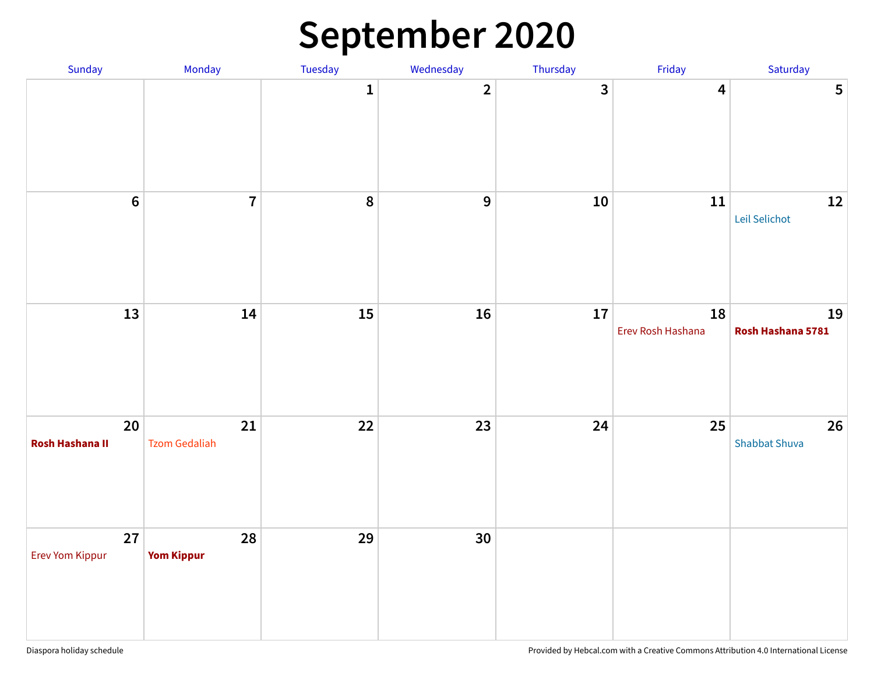### **September 2020**

| Sunday                       | Monday                     | Tuesday      | Wednesday      | Thursday     | Friday                  | Saturday                   |
|------------------------------|----------------------------|--------------|----------------|--------------|-------------------------|----------------------------|
|                              |                            | $\mathbf{1}$ | $\mathbf{2}$   | $\mathbf{3}$ | $\overline{\mathbf{4}}$ | $5\phantom{a}$             |
| $6\phantom{a}$               | $\overline{7}$             | 8            | $\overline{9}$ | ${\bf 10}$   | ${\bf 11}$              | $12\,$<br>Leil Selichot    |
| 13                           | 14                         | 15           | 16             | ${\bf 17}$   | 18<br>Erev Rosh Hashana | 19<br>Rosh Hashana 5781    |
| 20<br><b>Rosh Hashana II</b> | 21<br><b>Tzom Gedaliah</b> | 22           | 23             | 24           | 25                      | 26<br><b>Shabbat Shuva</b> |
| 27<br>Erev Yom Kippur        | 28<br><b>Yom Kippur</b>    | 29           | 30             |              |                         |                            |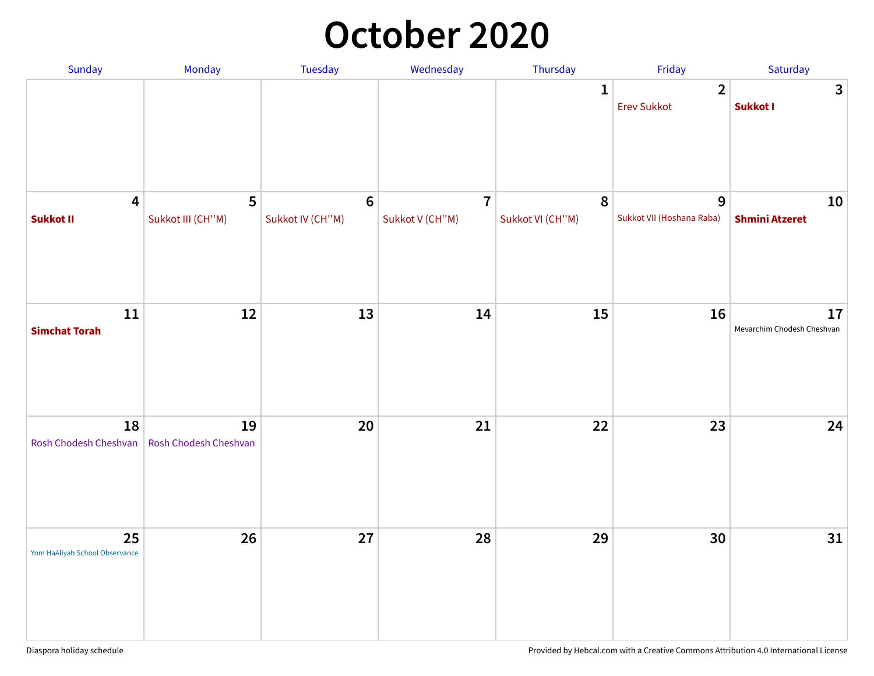### **October 2020**

| Sunday                                      | <b>Monday</b>               | <b>Tuesday</b>              | Wednesday                                  | Thursday                      | Friday                               | Saturday                         |
|---------------------------------------------|-----------------------------|-----------------------------|--------------------------------------------|-------------------------------|--------------------------------------|----------------------------------|
|                                             |                             |                             |                                            | $\mathbf{1}$                  | $\overline{2}$<br><b>Erev Sukkot</b> | $\mathbf{3}$<br>Sukkot I         |
| $\overline{\mathbf{4}}$<br><b>Sukkot II</b> | 5<br>Sukkot III (CH"M)      | $\bf 6$<br>Sukkot IV (CH"M) | $\overline{\mathbf{7}}$<br>Sukkot V (CH"M) | $\pmb{8}$<br>Sukkot VI (CH"M) | 9<br>Sukkot VII (Hoshana Raba)       | 10<br><b>Shmini Atzeret</b>      |
| 11<br><b>Simchat Torah</b>                  | 12                          | 13                          | 14                                         | 15                            | 16                                   | 17<br>Mevarchim Chodesh Cheshvan |
| 18<br>Rosh Chodesh Cheshvan                 | 19<br>Rosh Chodesh Cheshvan | 20                          | 21                                         | 22                            | 23                                   | 24                               |
| 25<br>Yom HaAliyah School Observance        | 26                          | 27                          | 28                                         | 29                            | 30                                   | 31                               |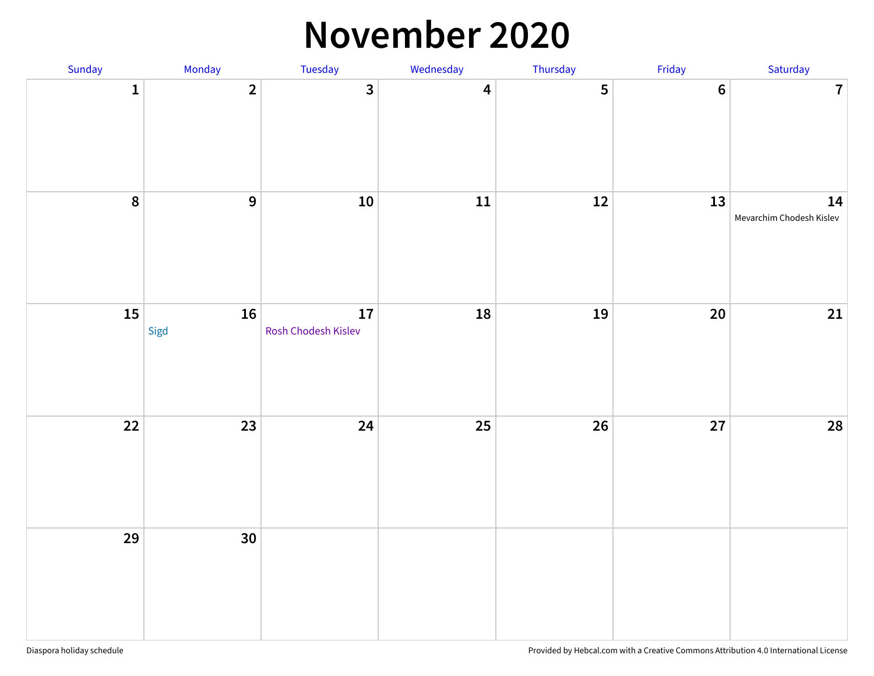#### **November 2020**

| Sunday       | Monday         | Tuesday                   | Wednesday               | Thursday       | Friday         | Saturday                       |
|--------------|----------------|---------------------------|-------------------------|----------------|----------------|--------------------------------|
| $\mathbf{1}$ | $\overline{2}$ | $\overline{\mathbf{3}}$   | $\overline{\mathbf{4}}$ | $5\phantom{a}$ | $6\phantom{a}$ | $\mathbf{7}$                   |
| 8            | $\overline{9}$ | ${\bf 10}$                | ${\bf 11}$              | $12\,$         | 13             | 14<br>Mevarchim Chodesh Kislev |
| 15           | 16<br>Sigd     | 17<br>Rosh Chodesh Kislev | 18                      | 19             | $20\,$         | 21                             |
| 22           | 23             | 24                        | 25                      | 26             | 27             | ${\bf 28}$                     |
| 29           | 30             |                           |                         |                |                |                                |